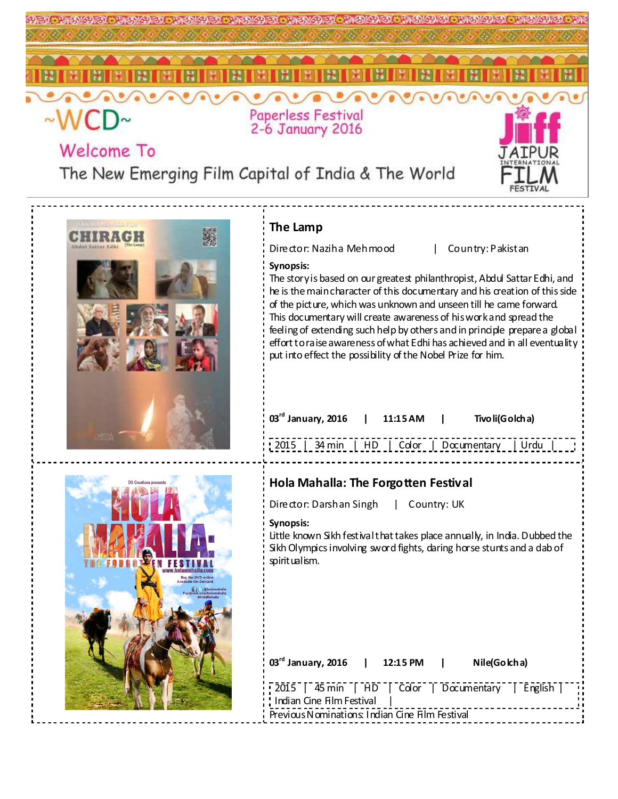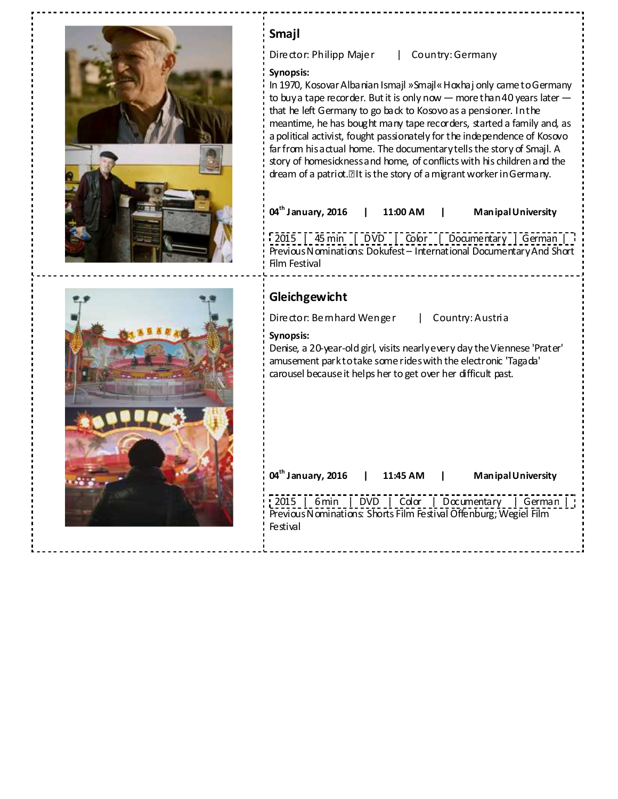| Smajl<br>Director: Philipp Majer<br>Country: Germany<br>Synopsis:<br>In 1970, Kosovar Albanian Ismajl »Smajl« Hoxhaj only came to Germany<br>to buy a tape recorder. But it is only now $-$ more than 40 years later $-$<br>that he left Germany to go back to Kosovo as a pensioner. In the<br>meantime, he has bought many tape recorders, started a family and, as<br>a political activist, fought passionately for the independence of Kosovo |
|---------------------------------------------------------------------------------------------------------------------------------------------------------------------------------------------------------------------------------------------------------------------------------------------------------------------------------------------------------------------------------------------------------------------------------------------------|
| far from his actual home. The documentary tells the story of Smajl. A<br>story of homesickness and home, of conflicts with his children and the<br>dream of a patriot. It is the story of a migrant worker in Germany.<br>04 <sup>th</sup> January, 2016<br>Man ipal University<br>11:00 AM<br>2015   45 min   DVD   Color   Documentary   German<br>Previous Nominations: Dokufest - International Documentary And Short                         |
| Film Festival<br>Gleichgewicht                                                                                                                                                                                                                                                                                                                                                                                                                    |
| Director: Bemhard Wenger<br>Country: Austria<br>Synopsis:<br>Denise, a 20-year-old girl, visits nearly every day the Viennese 'Prater'<br>amusement parktotake some rides with the electronic 'Tagada'<br>carousel because it helps her to get over her difficult past.                                                                                                                                                                           |
| 04 <sup>th</sup> January, 2016<br>11:45 AM<br>Man ipal University                                                                                                                                                                                                                                                                                                                                                                                 |
| DVD   Color   Documentary   German<br>2015   6 min<br>Previous Nominations: Shorts Film Festival Offenburg; Wegiel Film<br>Festival                                                                                                                                                                                                                                                                                                               |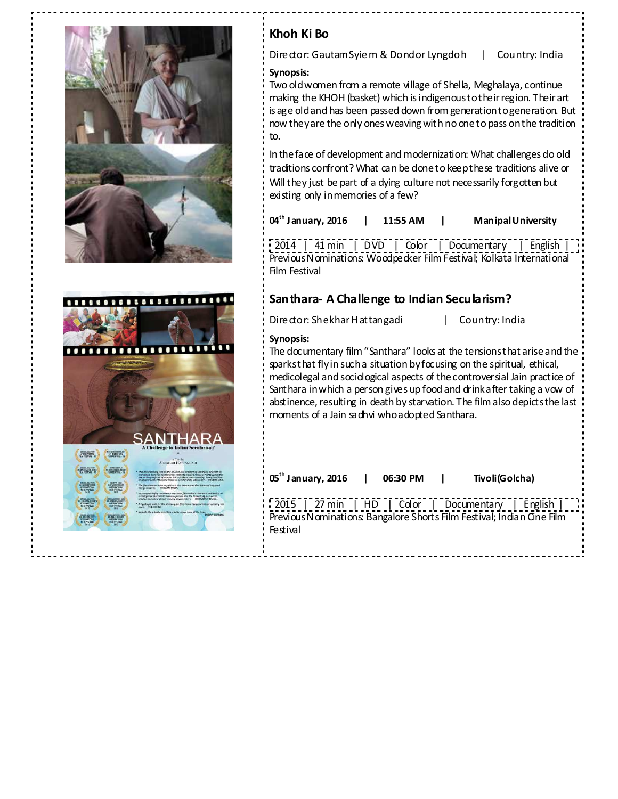



# **Khoh Ki Bo**

Director: Gautam Syiem & Dondor Lyngdoh | Country: India

### **Synopsis:**

Two old women from a remote village of Shella, Meghalaya, continue making the KHOH (basket) which is indigenous to their region. Their art is age old and has been passed down from generation to generation. But now they are the only ones weaving with no one to pass on the tradition to.

In the face of development and modernization: What challenges do old traditions confront? What can be done to keep these traditions alive or Will they just be part of a dying culture not necessarily forgotten but existing only in memories of a few?

| $04^{\text{th}}$ January, 2016 | 11:55 AM | Man ipal University |
|--------------------------------|----------|---------------------|
|--------------------------------|----------|---------------------|

 $\frac{1}{2}$  2014 | 41 min | DVD | Color | Documentary | English Previous Nominations: Woodpecker Film Festival; Kolkata International Film Festival

# **Santhara- A Challenge to Indian Secularism?**

Director: Shekhar Hattangadi | Country: India

### **Synopsis:**

The documentary film "Santhara" looks at the tensions that arise and the sparks that fly in such a situation by focusing on the spiritual, ethical, medicolegal and sociological aspects of the controversial Jain practice of Santhara in which a person gives up food and drink after taking a vow of abstinence, resulting in death by starvation. The film also depicts the last moments of a Jain sadhvi who adopted Santhara.

| 05 <sup>th</sup> January, 2016                                                                                                             | 06:30 PM | Tivoli(Golcha) |  |
|--------------------------------------------------------------------------------------------------------------------------------------------|----------|----------------|--|
| 2015   27 min   HD   Color   Documentary   English  <br>Previous Nominations: Bangalore Shorts Film Festival; Indian Cine Film<br>Festival |          |                |  |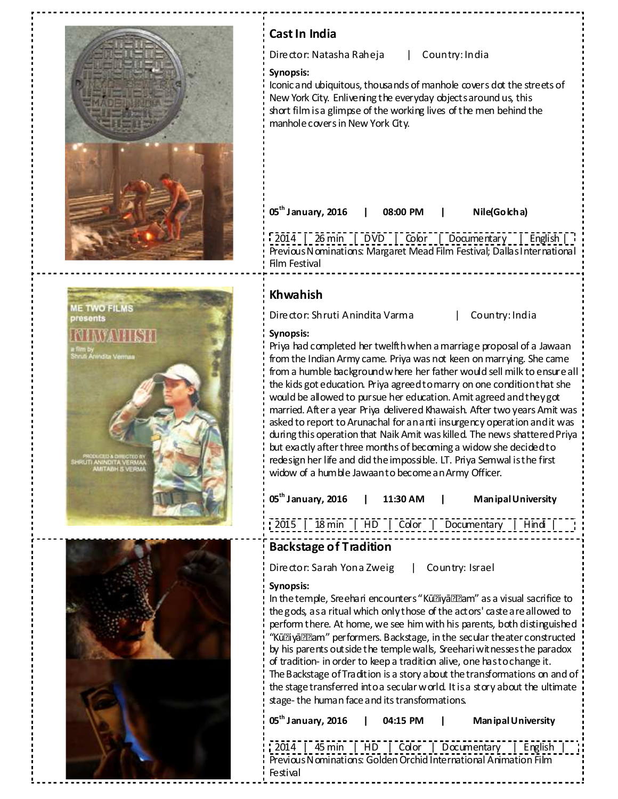

--*----------*

| Cast In India                                                                                                                                                                                                                                                                                                                                                                                                                                                                                                                                                                                                                                                                                                                                                                                                                  |
|--------------------------------------------------------------------------------------------------------------------------------------------------------------------------------------------------------------------------------------------------------------------------------------------------------------------------------------------------------------------------------------------------------------------------------------------------------------------------------------------------------------------------------------------------------------------------------------------------------------------------------------------------------------------------------------------------------------------------------------------------------------------------------------------------------------------------------|
| Director: Natasha Raheja<br>Country: India<br>$\mathbf{L}$                                                                                                                                                                                                                                                                                                                                                                                                                                                                                                                                                                                                                                                                                                                                                                     |
| Synopsis:<br>Iconic and ubiquitous, thousands of manhole covers dot the streets of<br>New York City. Enlivening the everyday objects around us, this<br>short film is a glimpse of the working lives of the men behind the<br>manhole covers in New York City.                                                                                                                                                                                                                                                                                                                                                                                                                                                                                                                                                                 |
| 05 <sup>th</sup> January, 2016<br>Nile(Golcha)<br>08:00 PM                                                                                                                                                                                                                                                                                                                                                                                                                                                                                                                                                                                                                                                                                                                                                                     |
| [2014   26 min   DVD   Color   Documentary   English    <br>Previous Nominations: Margaret Mead Film Festival; Dallas International<br>Film Festival                                                                                                                                                                                                                                                                                                                                                                                                                                                                                                                                                                                                                                                                           |
| <b>Khwahish</b>                                                                                                                                                                                                                                                                                                                                                                                                                                                                                                                                                                                                                                                                                                                                                                                                                |
| Director: Shruti Anindita Varma<br>Country: India<br>L                                                                                                                                                                                                                                                                                                                                                                                                                                                                                                                                                                                                                                                                                                                                                                         |
| Synopsis:<br>Priya had completed her twelfth when a marriage proposal of a Jawaan<br>from the Indian Army came. Priya was not keen on marrying. She came<br>from a humble background where her father would sell milk to ensure all<br>the kids got education. Priya agreed to marry on one condition that she<br>would be allowed to pursue her education. Amit agreed and theygot<br>married. After a year Priya delivered Khawaish. After two years Amit was<br>asked to report to Arunachal for an anti insurgency operation and it was<br>during this operation that Naik Amit was killed. The news shattered Priya<br>but exactly after three months of becoming a widow she decided to<br>redesign her life and did the impossible. LT. Priya Semwal is the first<br>widow of a humble Jawaanto become an Army Officer. |
| 05 <sup>th</sup> January, 2016<br>11:30 AM  <br>Man ipal University                                                                                                                                                                                                                                                                                                                                                                                                                                                                                                                                                                                                                                                                                                                                                            |
|                                                                                                                                                                                                                                                                                                                                                                                                                                                                                                                                                                                                                                                                                                                                                                                                                                |
| <b>Backstage of Tradition</b>                                                                                                                                                                                                                                                                                                                                                                                                                                                                                                                                                                                                                                                                                                                                                                                                  |
| Director: Sarah Yona Zweig   Country: Israel                                                                                                                                                                                                                                                                                                                                                                                                                                                                                                                                                                                                                                                                                                                                                                                   |
| Synopsis:<br>In the temple, Sreehari encounters "Kūl?iyā ???am" as a visual sacrifice to<br>the gods, as a ritual which only those of the actors' caste are allowed to<br>perform there. At home, we see him with his parents, both distinguished<br>"Kūl?iyal???am" performers. Backstage, in the secular the ater constructed<br>by his parents outside the temple walls, Sreehari witnesses the paradox<br>of tradition- in order to keep a tradition alive, one hastochange it.<br>The Backstage of Tradition is a story a bout the transformations on and of<br>the stage transferred into a secular world. It is a story about the ultimate<br>stage-the human face and its transformations.                                                                                                                             |
|                                                                                                                                                                                                                                                                                                                                                                                                                                                                                                                                                                                                                                                                                                                                                                                                                                |

2014 | 45 min | HD | Color | Documentary | English | Previous Nominations: Golden Orchid International Animation Film Festival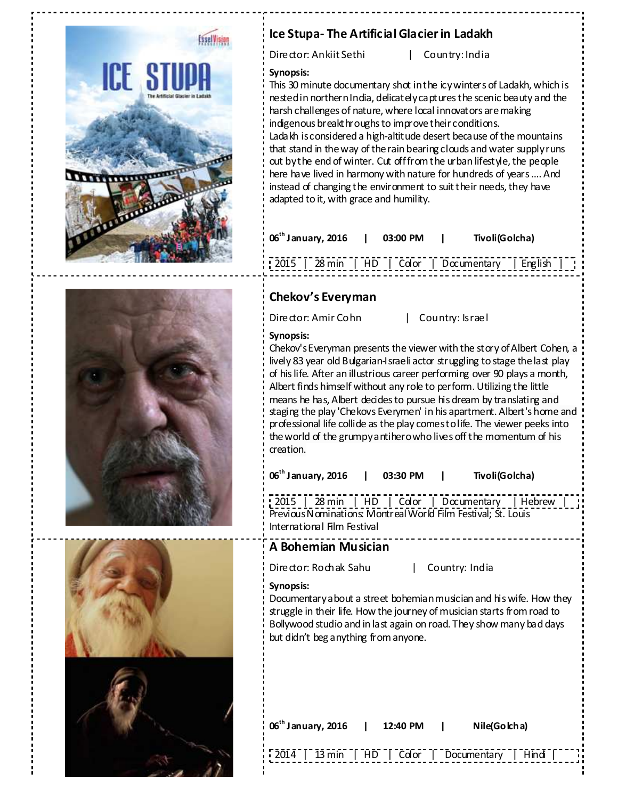

# **Ice Stupa- The Artificial Glacier in Ladakh**

Director: Ankiit Sethi | Country: India

# **Synopsis:**

This 30 minute documentary shot in the icy winters of Ladakh, which is nested in northern India, delicately captures the scenic beauty and the harsh challenges of nature, where local innovators are making indigenous breakthroughs to improve their conditions. Ladakh is considered a high-altitude desert because of the mountains that stand in the way of the rain bearing clouds and water supply runs out by the end of winter. Cut off from the urban lifestyle, the people here have lived in harmony with nature for hundreds of years …. And instead of changing the environment to suit their needs, they have adapted to it, with grace and humility.

|  |  | 06 <sup>th</sup> January, 2016   03:00 PM   Tivoli(Golcha) |  |
|--|--|------------------------------------------------------------|--|
|  |  | [2015   28 min   HD   Color   Documentary   English        |  |

# **Chekov's Everyman**

Director: Amir Cohn | Country: Israel

### **Synopsis:**

Chekov's Everyman presents the viewer with the story of Albert Cohen, a lively 83 year old Bulgarian-Israeli actor struggling to stage the last play of his life. After an illustrious career performing over 90 plays a month, Albert finds himself without any role to perform. Utilizing the little means he has, Albert decides to pursue his dream by translating and staging the play 'Chekovs Everymen' in his apartment. Albert's home and professional life collide as the play comes to life. The viewer peeks into the world of the grumpy antihero who lives off the momentum of his creation.

**06th January, 2016 | 03:30 PM | Tivoli(Golcha)** 

2015 | 28 min | HD | Color | Documentary | Hebrew | Previous Nominations: Montreal World Film Festival; St. Louis International Film Festival

## **A Bohemian Musician**

Director: Rochak Sahu | Country: India

### **Synopsis:**

Documentary about a street bohemian musician and his wife. How they struggle in their life. How the journey of musician starts from road to Bollywood studio and in last again on road. They show many bad days but didn't beg anything from anyone.

| 06 <sup>th</sup> January, 2016   12:40 PM |  | Nile(Go kha)                                      |  |
|-------------------------------------------|--|---------------------------------------------------|--|
|                                           |  | [2014] [13 min   HD   Color   Documentary   Hindi |  |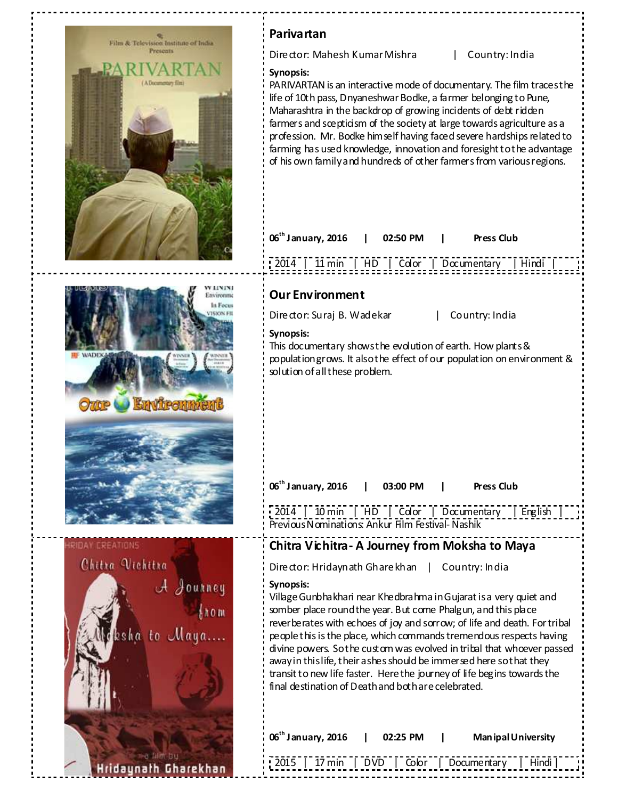

PARIVARTAN is an interactive mode of documentary. The film traces the life of 10th pass, Dnyaneshwar Bodke, a farmer belonging to Pune, Maharashtra in the backdrop of growing incidents of debt ridden farmers and scepticism of the society at large towards agriculture as a profession. Mr. Bodke himself having faced severe hardships related to farming has used knowledge, innovation and foresight to the advantage of his own family and hundreds of other farmers from various regions.

| $\frac{1}{2}$ 06 <sup>th</sup> January, 2016   02:50 PM   Press Club |  |  |  |
|----------------------------------------------------------------------|--|--|--|
| $\frac{1}{2014}$   11 min   HD   Color   Documentary   Hindi         |  |  |  |

This documentary shows the evolution of earth. How plants & population grows. It also the effect of our population on environment &

| 06 <sup>th</sup> January, 2016   03:00 PM   Press Club           |  |  |  |
|------------------------------------------------------------------|--|--|--|
| $\lceil 2014 \rceil$ 10 min   HD   Color   Documentary   English |  |  |  |

Previous Nominations: Ankur Film Festival- Nashik

# **Chitra Vichitra- A Journey from Moksha to Maya**

Director: Hridaynath Gharekhan | Country: India

Village Gunbhakhari near Khedbrahma in Gujarat is a very quiet and somber place round the year. But come Phalgun, and this place reverberates with echoes of joy and sorrow; of life and death. For tribal people this is the place, which commands tremendous respects having divine powers. So the custom was evolved in tribal that whoever passed away in this life, their ashes should be immersed here so that they transit to new life faster. Here the journey of life begins towards the final destination of Death and both are celebrated.

| $\frac{1}{2}$ 06 <sup>th</sup> January, 2016 | 02:25 PM l | Man ipal University                                 |  |
|----------------------------------------------|------------|-----------------------------------------------------|--|
|                                              |            | : 2015   17 min   DVD   Color   Documentary   Hindi |  |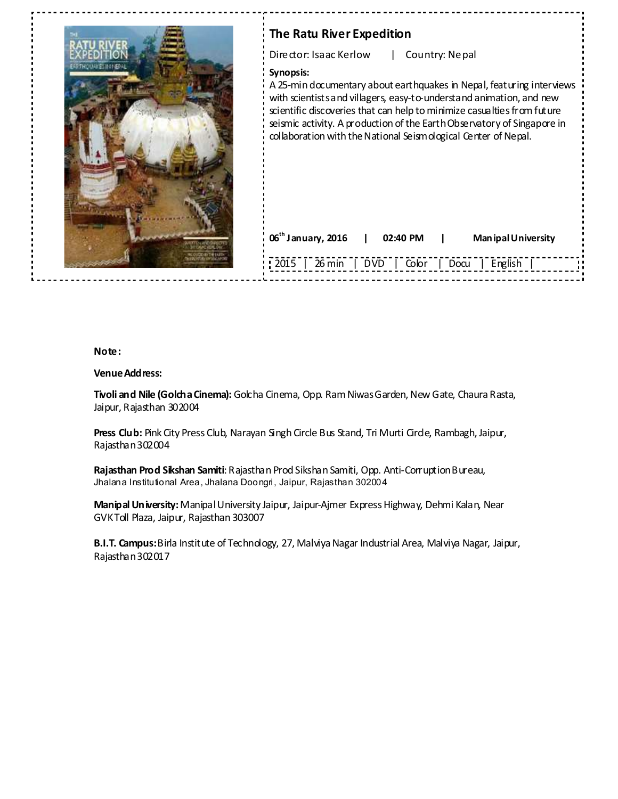

# **The Ratu River Expedition**

Director: Isaac Kerlow | Country: Nepal

### **Synopsis:**

A 25-min documentary about earthquakes in Nepal, featuring interviews with scientists and villagers, easy-to-understand animation, and new scientific discoveries that can help to minimize casualties from future seismic activity. A production of the Earth Observatory of Singapore in collaboration with the National Seismological Center of Nepal.

| $\frac{1}{2}$ 06 <sup>th</sup> January, 2016 | 02:40 PM                    | Man ipal University |  |
|----------------------------------------------|-----------------------------|---------------------|--|
| $\therefore$ 2015                            | 26 min   DVD   Color   Docu | English<br>$\sim 1$ |  |

#### **Note:**

#### **Venue Address:**

**Tivoli and Nile (Golcha Cinema):** Golcha Cinema, Opp. Ram Niwas Garden, New Gate, Chaura Rasta, Jaipur, Rajasthan 302004

Press Club: Pink City Press Club, Narayan Singh Circle Bus Stand, Tri Murti Circle, Rambagh, Jaipur, Rajasthan 302004

**Rajasthan Prod Sikshan Samiti**: Rajasthan Prod Sikshan Samiti, Opp. Anti-Corruption Bureau, Jhalana Institutional Area, Jhalana Doongri, Jaipur, Rajasthan 302004

**Manipal University:** Manipal University Jaipur, Jaipur-Ajmer Express Highway, Dehmi Kalan, Near GVK Toll Plaza, Jaipur, Rajasthan 303007

**B.I.T. Campus:** Birla Institute of Technology, 27, Malviya Nagar Industrial Area, Malviya Nagar, Jaipur, Rajasthan 302017